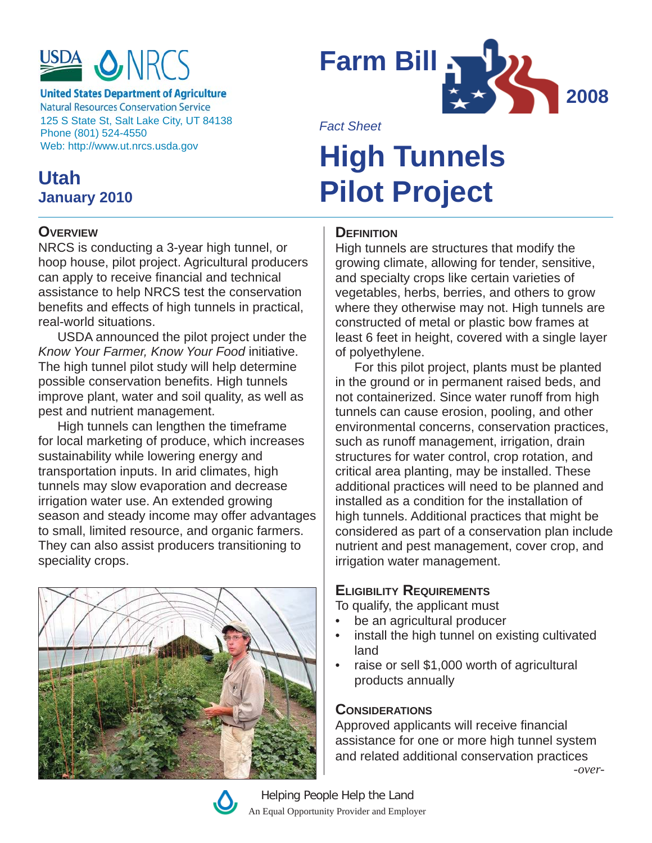

**United States Department of Agriculture Natural Resources Conservation Service** 125 S State St, Salt Lake City, UT 84138 Phone (801) 524-4550 Web: http://www.ut.nrcs.usda.gov

## **Utah January 2010**

#### **OVERVIEW**

NRCS is conducting a 3-year high tunnel, or hoop house, pilot project. Agricultural producers can apply to receive financial and technical assistance to help NRCS test the conservation benefits and effects of high tunnels in practical, real-world situations.

USDA announced the pilot project under the *Know Your Farmer, Know Your Food* initiative. The high tunnel pilot study will help determine possible conservation benefits. High tunnels improve plant, water and soil quality, as well as pest and nutrient management.

High tunnels can lengthen the timeframe for local marketing of produce, which increases sustainability while lowering energy and transportation inputs. In arid climates, high tunnels may slow evaporation and decrease irrigation water use. An extended growing season and steady income may offer advantages to small, limited resource, and organic farmers. They can also assist producers transitioning to speciality crops.





*Fact Sheet*

# **High Tunnels Pilot Project**

#### **DEFINITION**

High tunnels are structures that modify the growing climate, allowing for tender, sensitive, and specialty crops like certain varieties of vegetables, herbs, berries, and others to grow where they otherwise may not. High tunnels are constructed of metal or plastic bow frames at least 6 feet in height, covered with a single layer of polyethylene.

For this pilot project, plants must be planted in the ground or in permanent raised beds, and not containerized. Since water runoff from high tunnels can cause erosion, pooling, and other environmental concerns, conservation practices, such as runoff management, irrigation, drain structures for water control, crop rotation, and critical area planting, may be installed. These additional practices will need to be planned and installed as a condition for the installation of high tunnels. Additional practices that might be considered as part of a conservation plan include nutrient and pest management, cover crop, and irrigation water management.

#### **ELIGIBILITY REQUIREMENTS**

To qualify, the applicant must

- be an agricultural producer
- install the high tunnel on existing cultivated land
- raise or sell \$1,000 worth of agricultural products annually

#### **CONSIDERATIONS**

Approved applicants will receive financial assistance for one or more high tunnel system and related additional conservation practices *-over-*

Helping People Help the Land An Equal Opportunity Provider and Employer